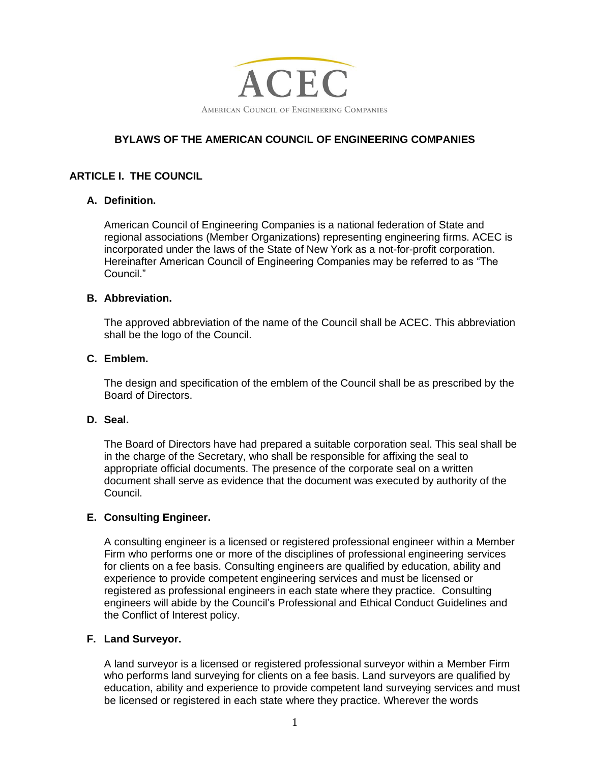

# **BYLAWS OF THE AMERICAN COUNCIL OF ENGINEERING COMPANIES**

# **ARTICLE I. THE COUNCIL**

## **A. Definition.**

American Council of Engineering Companies is a national federation of State and regional associations (Member Organizations) representing engineering firms. ACEC is incorporated under the laws of the State of New York as a not-for-profit corporation. Hereinafter American Council of Engineering Companies may be referred to as "The Council."

## **B. Abbreviation.**

The approved abbreviation of the name of the Council shall be ACEC. This abbreviation shall be the logo of the Council.

#### **C. Emblem.**

The design and specification of the emblem of the Council shall be as prescribed by the Board of Directors.

## **D. Seal.**

The Board of Directors have had prepared a suitable corporation seal. This seal shall be in the charge of the Secretary, who shall be responsible for affixing the seal to appropriate official documents. The presence of the corporate seal on a written document shall serve as evidence that the document was executed by authority of the Council.

## **E. Consulting Engineer.**

A consulting engineer is a licensed or registered professional engineer within a Member Firm who performs one or more of the disciplines of professional engineering services for clients on a fee basis. Consulting engineers are qualified by education, ability and experience to provide competent engineering services and must be licensed or registered as professional engineers in each state where they practice. Consulting engineers will abide by the Council's Professional and Ethical Conduct Guidelines and the Conflict of Interest policy.

## **F. Land Surveyor.**

A land surveyor is a licensed or registered professional surveyor within a Member Firm who performs land surveying for clients on a fee basis. Land surveyors are qualified by education, ability and experience to provide competent land surveying services and must be licensed or registered in each state where they practice. Wherever the words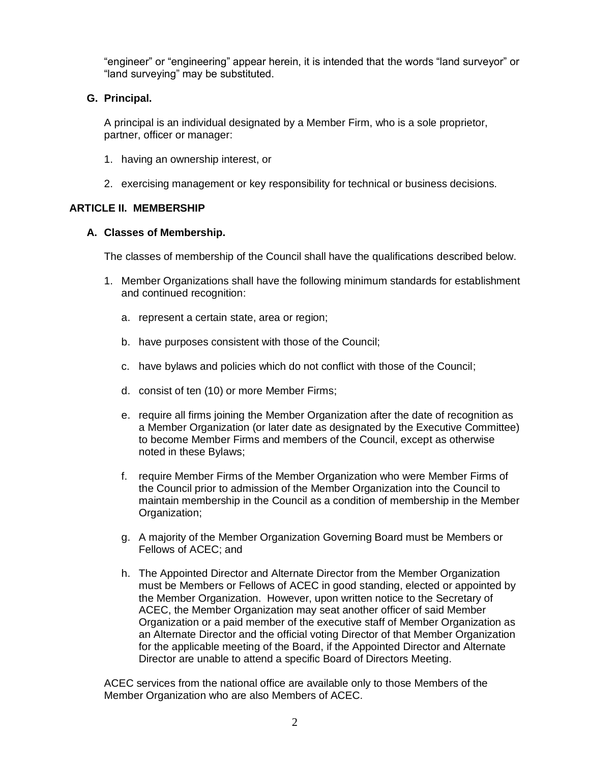"engineer" or "engineering" appear herein, it is intended that the words "land surveyor" or "land surveying" may be substituted.

**G. Principal.**

A principal is an individual designated by a Member Firm, who is a sole proprietor, partner, officer or manager:

- 1. having an ownership interest, or
- 2. exercising management or key responsibility for technical or business decisions.

## **ARTICLE II. MEMBERSHIP**

#### **A. Classes of Membership.**

The classes of membership of the Council shall have the qualifications described below.

- 1. Member Organizations shall have the following minimum standards for establishment and continued recognition:
	- a. represent a certain state, area or region;
	- b. have purposes consistent with those of the Council;
	- c. have bylaws and policies which do not conflict with those of the Council;
	- d. consist of ten (10) or more Member Firms;
	- e. require all firms joining the Member Organization after the date of recognition as a Member Organization (or later date as designated by the Executive Committee) to become Member Firms and members of the Council, except as otherwise noted in these Bylaws;
	- f. require Member Firms of the Member Organization who were Member Firms of the Council prior to admission of the Member Organization into the Council to maintain membership in the Council as a condition of membership in the Member Organization;
	- g. A majority of the Member Organization Governing Board must be Members or Fellows of ACEC; and
	- h. The Appointed Director and Alternate Director from the Member Organization must be Members or Fellows of ACEC in good standing, elected or appointed by the Member Organization. However, upon written notice to the Secretary of ACEC, the Member Organization may seat another officer of said Member Organization or a paid member of the executive staff of Member Organization as an Alternate Director and the official voting Director of that Member Organization for the applicable meeting of the Board, if the Appointed Director and Alternate Director are unable to attend a specific Board of Directors Meeting.

ACEC services from the national office are available only to those Members of the Member Organization who are also Members of ACEC.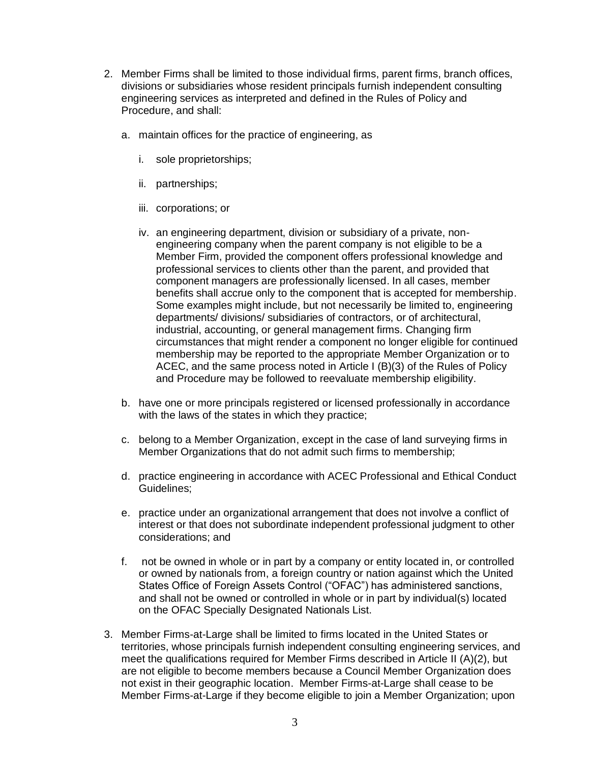- 2. Member Firms shall be limited to those individual firms, parent firms, branch offices, divisions or subsidiaries whose resident principals furnish independent consulting engineering services as interpreted and defined in the Rules of Policy and Procedure, and shall:
	- a. maintain offices for the practice of engineering, as
		- i. sole proprietorships;
		- ii. partnerships;
		- iii. corporations; or
		- iv. an engineering department, division or subsidiary of a private, nonengineering company when the parent company is not eligible to be a Member Firm, provided the component offers professional knowledge and professional services to clients other than the parent, and provided that component managers are professionally licensed. In all cases, member benefits shall accrue only to the component that is accepted for membership. Some examples might include, but not necessarily be limited to, engineering departments/ divisions/ subsidiaries of contractors, or of architectural, industrial, accounting, or general management firms. Changing firm circumstances that might render a component no longer eligible for continued membership may be reported to the appropriate Member Organization or to ACEC, and the same process noted in Article I (B)(3) of the Rules of Policy and Procedure may be followed to reevaluate membership eligibility.
	- b. have one or more principals registered or licensed professionally in accordance with the laws of the states in which they practice;
	- c. belong to a Member Organization, except in the case of land surveying firms in Member Organizations that do not admit such firms to membership;
	- d. practice engineering in accordance with ACEC Professional and Ethical Conduct Guidelines;
	- e. practice under an organizational arrangement that does not involve a conflict of interest or that does not subordinate independent professional judgment to other considerations; and
	- f. not be owned in whole or in part by a company or entity located in, or controlled or owned by nationals from, a foreign country or nation against which the United States Office of Foreign Assets Control ("OFAC") has administered sanctions, and shall not be owned or controlled in whole or in part by individual(s) located on the OFAC Specially Designated Nationals List.
- 3. Member Firms-at-Large shall be limited to firms located in the United States or territories, whose principals furnish independent consulting engineering services, and meet the qualifications required for Member Firms described in Article II (A)(2), but are not eligible to become members because a Council Member Organization does not exist in their geographic location. Member Firms-at-Large shall cease to be Member Firms-at-Large if they become eligible to join a Member Organization; upon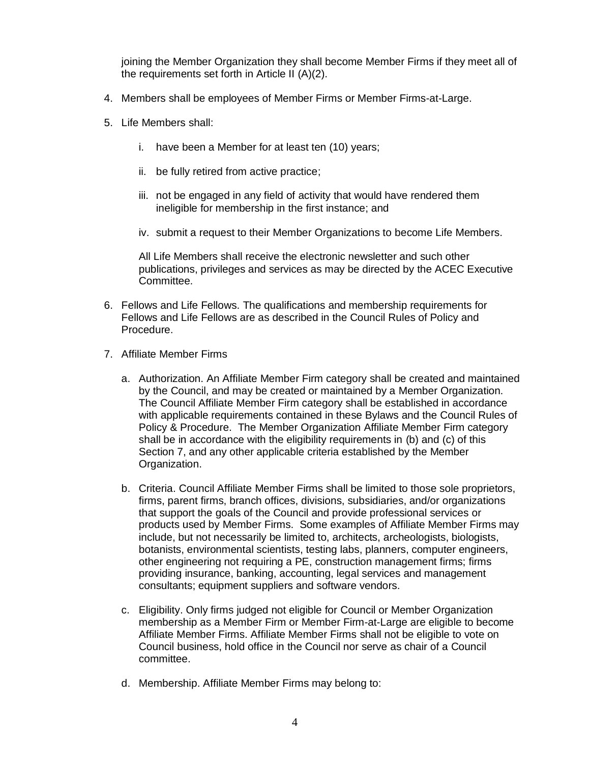joining the Member Organization they shall become Member Firms if they meet all of the requirements set forth in Article II (A)(2).

- 4. Members shall be employees of Member Firms or Member Firms-at-Large.
- 5. Life Members shall:
	- i. have been a Member for at least ten (10) years;
	- ii. be fully retired from active practice;
	- iii. not be engaged in any field of activity that would have rendered them ineligible for membership in the first instance; and
	- iv. submit a request to their Member Organizations to become Life Members.

All Life Members shall receive the electronic newsletter and such other publications, privileges and services as may be directed by the ACEC Executive Committee.

- 6. Fellows and Life Fellows. The qualifications and membership requirements for Fellows and Life Fellows are as described in the Council Rules of Policy and Procedure.
- 7. Affiliate Member Firms
	- a. Authorization. An Affiliate Member Firm category shall be created and maintained by the Council, and may be created or maintained by a Member Organization. The Council Affiliate Member Firm category shall be established in accordance with applicable requirements contained in these Bylaws and the Council Rules of Policy & Procedure. The Member Organization Affiliate Member Firm category shall be in accordance with the eligibility requirements in (b) and (c) of this Section 7, and any other applicable criteria established by the Member Organization.
	- b. Criteria. Council Affiliate Member Firms shall be limited to those sole proprietors, firms, parent firms, branch offices, divisions, subsidiaries, and/or organizations that support the goals of the Council and provide professional services or products used by Member Firms. Some examples of Affiliate Member Firms may include, but not necessarily be limited to, architects, archeologists, biologists, botanists, environmental scientists, testing labs, planners, computer engineers, other engineering not requiring a PE, construction management firms; firms providing insurance, banking, accounting, legal services and management consultants; equipment suppliers and software vendors.
	- c. Eligibility. Only firms judged not eligible for Council or Member Organization membership as a Member Firm or Member Firm-at-Large are eligible to become Affiliate Member Firms. Affiliate Member Firms shall not be eligible to vote on Council business, hold office in the Council nor serve as chair of a Council committee.
	- d. Membership. Affiliate Member Firms may belong to: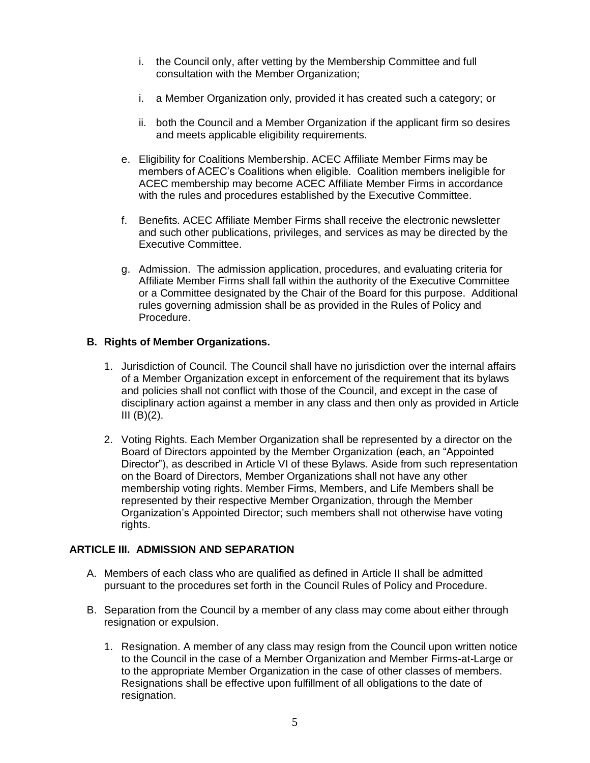- i. the Council only, after vetting by the Membership Committee and full consultation with the Member Organization;
- i. a Member Organization only, provided it has created such a category; or
- ii. both the Council and a Member Organization if the applicant firm so desires and meets applicable eligibility requirements.
- e. Eligibility for Coalitions Membership. ACEC Affiliate Member Firms may be members of ACEC's Coalitions when eligible. Coalition members ineligible for ACEC membership may become ACEC Affiliate Member Firms in accordance with the rules and procedures established by the Executive Committee.
- f. Benefits. ACEC Affiliate Member Firms shall receive the electronic newsletter and such other publications, privileges, and services as may be directed by the Executive Committee.
- g. Admission. The admission application, procedures, and evaluating criteria for Affiliate Member Firms shall fall within the authority of the Executive Committee or a Committee designated by the Chair of the Board for this purpose. Additional rules governing admission shall be as provided in the Rules of Policy and Procedure.

# **B. Rights of Member Organizations.**

- 1. Jurisdiction of Council. The Council shall have no jurisdiction over the internal affairs of a Member Organization except in enforcement of the requirement that its bylaws and policies shall not conflict with those of the Council, and except in the case of disciplinary action against a member in any class and then only as provided in Article III $(B)(2)$ .
- 2. Voting Rights. Each Member Organization shall be represented by a director on the Board of Directors appointed by the Member Organization (each, an "Appointed Director"), as described in Article VI of these Bylaws. Aside from such representation on the Board of Directors, Member Organizations shall not have any other membership voting rights. Member Firms, Members, and Life Members shall be represented by their respective Member Organization, through the Member Organization's Appointed Director; such members shall not otherwise have voting rights.

## **ARTICLE III. ADMISSION AND SEPARATION**

- A. Members of each class who are qualified as defined in Article II shall be admitted pursuant to the procedures set forth in the Council Rules of Policy and Procedure.
- B. Separation from the Council by a member of any class may come about either through resignation or expulsion.
	- 1. Resignation. A member of any class may resign from the Council upon written notice to the Council in the case of a Member Organization and Member Firms-at-Large or to the appropriate Member Organization in the case of other classes of members. Resignations shall be effective upon fulfillment of all obligations to the date of resignation.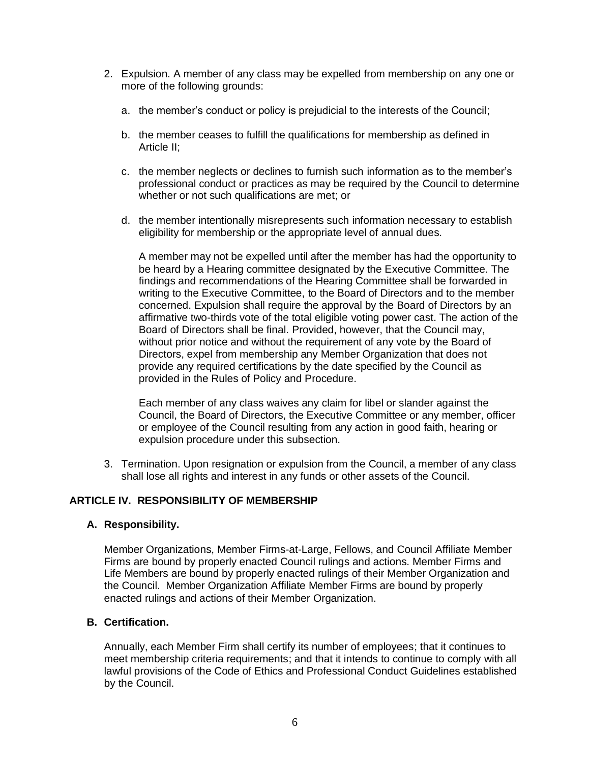- 2. Expulsion. A member of any class may be expelled from membership on any one or more of the following grounds:
	- a. the member's conduct or policy is prejudicial to the interests of the Council;
	- b. the member ceases to fulfill the qualifications for membership as defined in Article II;
	- c. the member neglects or declines to furnish such information as to the member's professional conduct or practices as may be required by the Council to determine whether or not such qualifications are met; or
	- d. the member intentionally misrepresents such information necessary to establish eligibility for membership or the appropriate level of annual dues.

A member may not be expelled until after the member has had the opportunity to be heard by a Hearing committee designated by the Executive Committee. The findings and recommendations of the Hearing Committee shall be forwarded in writing to the Executive Committee, to the Board of Directors and to the member concerned. Expulsion shall require the approval by the Board of Directors by an affirmative two-thirds vote of the total eligible voting power cast. The action of the Board of Directors shall be final. Provided, however, that the Council may, without prior notice and without the requirement of any vote by the Board of Directors, expel from membership any Member Organization that does not provide any required certifications by the date specified by the Council as provided in the Rules of Policy and Procedure.

Each member of any class waives any claim for libel or slander against the Council, the Board of Directors, the Executive Committee or any member, officer or employee of the Council resulting from any action in good faith, hearing or expulsion procedure under this subsection.

3. Termination. Upon resignation or expulsion from the Council, a member of any class shall lose all rights and interest in any funds or other assets of the Council.

## **ARTICLE IV. RESPONSIBILITY OF MEMBERSHIP**

#### **A. Responsibility.**

Member Organizations, Member Firms-at-Large, Fellows, and Council Affiliate Member Firms are bound by properly enacted Council rulings and actions. Member Firms and Life Members are bound by properly enacted rulings of their Member Organization and the Council. Member Organization Affiliate Member Firms are bound by properly enacted rulings and actions of their Member Organization.

# **B. Certification.**

Annually, each Member Firm shall certify its number of employees; that it continues to meet membership criteria requirements; and that it intends to continue to comply with all lawful provisions of the Code of Ethics and Professional Conduct Guidelines established by the Council.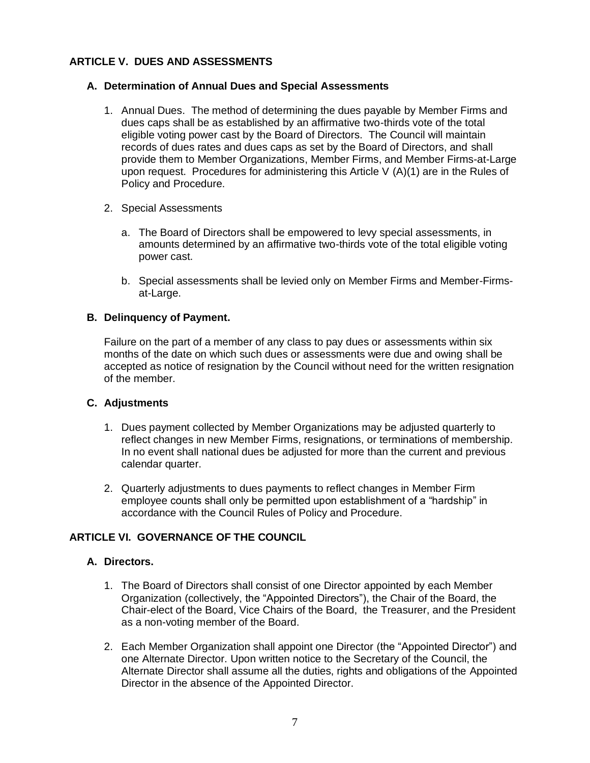# **ARTICLE V. DUES AND ASSESSMENTS**

## **A. Determination of Annual Dues and Special Assessments**

- 1. Annual Dues. The method of determining the dues payable by Member Firms and dues caps shall be as established by an affirmative two-thirds vote of the total eligible voting power cast by the Board of Directors. The Council will maintain records of dues rates and dues caps as set by the Board of Directors, and shall provide them to Member Organizations, Member Firms, and Member Firms-at-Large upon request. Procedures for administering this Article V (A)(1) are in the Rules of Policy and Procedure.
- 2. Special Assessments
	- a. The Board of Directors shall be empowered to levy special assessments, in amounts determined by an affirmative two-thirds vote of the total eligible voting power cast.
	- b. Special assessments shall be levied only on Member Firms and Member-Firmsat-Large.

#### **B. Delinquency of Payment.**

Failure on the part of a member of any class to pay dues or assessments within six months of the date on which such dues or assessments were due and owing shall be accepted as notice of resignation by the Council without need for the written resignation of the member.

# **C. Adjustments**

- 1. Dues payment collected by Member Organizations may be adjusted quarterly to reflect changes in new Member Firms, resignations, or terminations of membership. In no event shall national dues be adjusted for more than the current and previous calendar quarter.
- 2. Quarterly adjustments to dues payments to reflect changes in Member Firm employee counts shall only be permitted upon establishment of a "hardship" in accordance with the Council Rules of Policy and Procedure.

# **ARTICLE VI. GOVERNANCE OF THE COUNCIL**

## **A. Directors.**

- 1. The Board of Directors shall consist of one Director appointed by each Member Organization (collectively, the "Appointed Directors"), the Chair of the Board, the Chair-elect of the Board, Vice Chairs of the Board, the Treasurer, and the President as a non-voting member of the Board.
- 2. Each Member Organization shall appoint one Director (the "Appointed Director") and one Alternate Director. Upon written notice to the Secretary of the Council, the Alternate Director shall assume all the duties, rights and obligations of the Appointed Director in the absence of the Appointed Director.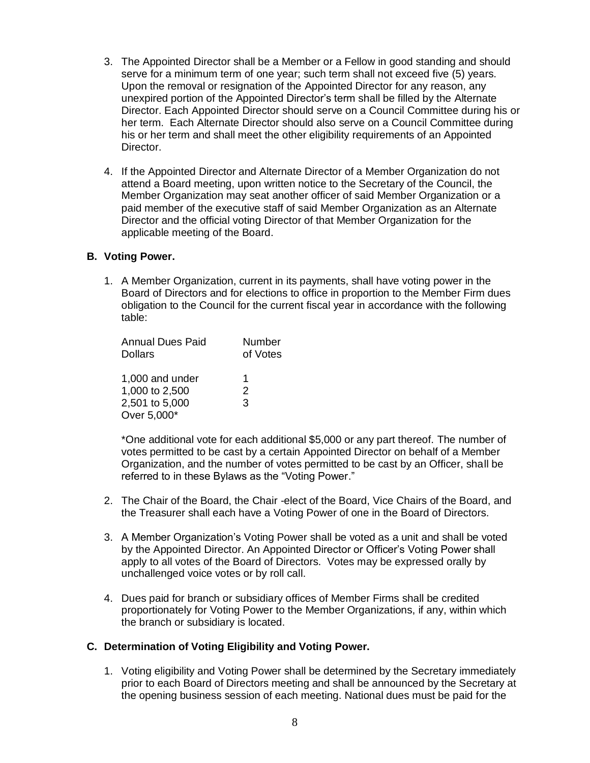- 3. The Appointed Director shall be a Member or a Fellow in good standing and should serve for a minimum term of one year; such term shall not exceed five (5) years. Upon the removal or resignation of the Appointed Director for any reason, any unexpired portion of the Appointed Director's term shall be filled by the Alternate Director. Each Appointed Director should serve on a Council Committee during his or her term. Each Alternate Director should also serve on a Council Committee during his or her term and shall meet the other eligibility requirements of an Appointed Director.
- 4. If the Appointed Director and Alternate Director of a Member Organization do not attend a Board meeting, upon written notice to the Secretary of the Council, the Member Organization may seat another officer of said Member Organization or a paid member of the executive staff of said Member Organization as an Alternate Director and the official voting Director of that Member Organization for the applicable meeting of the Board.

# **B. Voting Power.**

1. A Member Organization, current in its payments, shall have voting power in the Board of Directors and for elections to office in proportion to the Member Firm dues obligation to the Council for the current fiscal year in accordance with the following table:

| <b>Annual Dues Paid</b><br><b>Dollars</b> | Number<br>of Votes |
|-------------------------------------------|--------------------|
| 1,000 and under                           | 1                  |
| 1,000 to 2,500                            | 2                  |
| 2,501 to 5,000                            | 3                  |
| Over 5,000*                               |                    |

\*One additional vote for each additional \$5,000 or any part thereof. The number of votes permitted to be cast by a certain Appointed Director on behalf of a Member Organization, and the number of votes permitted to be cast by an Officer, shall be referred to in these Bylaws as the "Voting Power."

- 2. The Chair of the Board, the Chair -elect of the Board, Vice Chairs of the Board, and the Treasurer shall each have a Voting Power of one in the Board of Directors.
- 3. A Member Organization's Voting Power shall be voted as a unit and shall be voted by the Appointed Director. An Appointed Director or Officer's Voting Power shall apply to all votes of the Board of Directors. Votes may be expressed orally by unchallenged voice votes or by roll call.
- 4. Dues paid for branch or subsidiary offices of Member Firms shall be credited proportionately for Voting Power to the Member Organizations, if any, within which the branch or subsidiary is located.

## **C. Determination of Voting Eligibility and Voting Power.**

1. Voting eligibility and Voting Power shall be determined by the Secretary immediately prior to each Board of Directors meeting and shall be announced by the Secretary at the opening business session of each meeting. National dues must be paid for the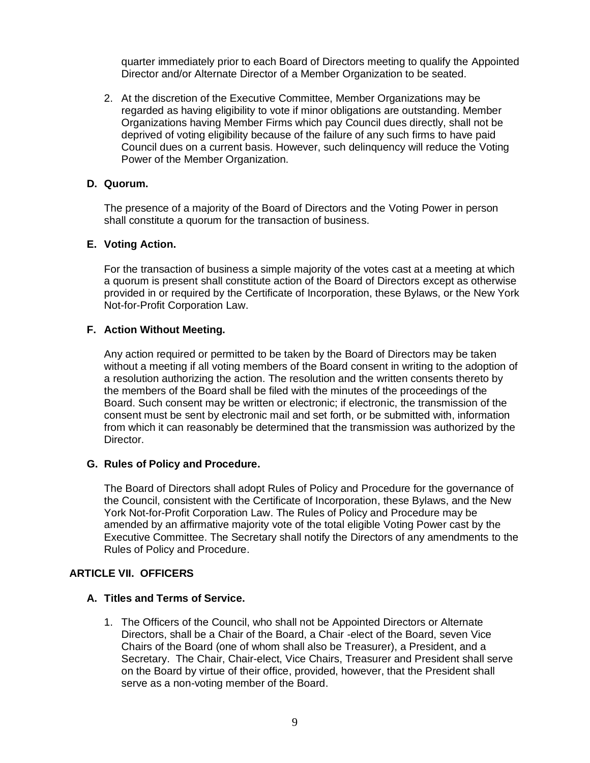quarter immediately prior to each Board of Directors meeting to qualify the Appointed Director and/or Alternate Director of a Member Organization to be seated.

2. At the discretion of the Executive Committee, Member Organizations may be regarded as having eligibility to vote if minor obligations are outstanding. Member Organizations having Member Firms which pay Council dues directly, shall not be deprived of voting eligibility because of the failure of any such firms to have paid Council dues on a current basis. However, such delinquency will reduce the Voting Power of the Member Organization.

#### **D. Quorum.**

The presence of a majority of the Board of Directors and the Voting Power in person shall constitute a quorum for the transaction of business.

#### **E. Voting Action.**

For the transaction of business a simple majority of the votes cast at a meeting at which a quorum is present shall constitute action of the Board of Directors except as otherwise provided in or required by the Certificate of Incorporation, these Bylaws, or the New York Not-for-Profit Corporation Law.

#### **F. Action Without Meeting.**

Any action required or permitted to be taken by the Board of Directors may be taken without a meeting if all voting members of the Board consent in writing to the adoption of a resolution authorizing the action. The resolution and the written consents thereto by the members of the Board shall be filed with the minutes of the proceedings of the Board. Such consent may be written or electronic; if electronic, the transmission of the consent must be sent by electronic mail and set forth, or be submitted with, information from which it can reasonably be determined that the transmission was authorized by the Director.

#### **G. Rules of Policy and Procedure.**

The Board of Directors shall adopt Rules of Policy and Procedure for the governance of the Council, consistent with the Certificate of Incorporation, these Bylaws, and the New York Not-for-Profit Corporation Law. The Rules of Policy and Procedure may be amended by an affirmative majority vote of the total eligible Voting Power cast by the Executive Committee. The Secretary shall notify the Directors of any amendments to the Rules of Policy and Procedure.

#### **ARTICLE VII. OFFICERS**

#### **A. Titles and Terms of Service.**

1. The Officers of the Council, who shall not be Appointed Directors or Alternate Directors, shall be a Chair of the Board, a Chair -elect of the Board, seven Vice Chairs of the Board (one of whom shall also be Treasurer), a President, and a Secretary. The Chair, Chair-elect, Vice Chairs, Treasurer and President shall serve on the Board by virtue of their office, provided, however, that the President shall serve as a non-voting member of the Board.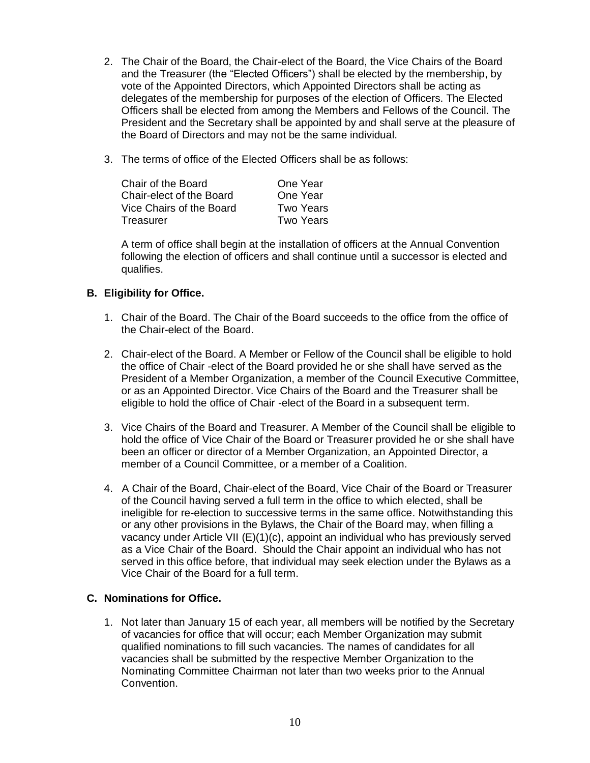- 2. The Chair of the Board, the Chair-elect of the Board, the Vice Chairs of the Board and the Treasurer (the "Elected Officers") shall be elected by the membership, by vote of the Appointed Directors, which Appointed Directors shall be acting as delegates of the membership for purposes of the election of Officers. The Elected Officers shall be elected from among the Members and Fellows of the Council. The President and the Secretary shall be appointed by and shall serve at the pleasure of the Board of Directors and may not be the same individual.
- 3. The terms of office of the Elected Officers shall be as follows:

| Chair of the Board       | One Year         |
|--------------------------|------------------|
| Chair-elect of the Board | One Year         |
| Vice Chairs of the Board | Two Years        |
| Treasurer                | <b>Two Years</b> |

A term of office shall begin at the installation of officers at the Annual Convention following the election of officers and shall continue until a successor is elected and qualifies.

# **B. Eligibility for Office.**

- 1. Chair of the Board. The Chair of the Board succeeds to the office from the office of the Chair-elect of the Board.
- 2. Chair-elect of the Board. A Member or Fellow of the Council shall be eligible to hold the office of Chair -elect of the Board provided he or she shall have served as the President of a Member Organization, a member of the Council Executive Committee, or as an Appointed Director. Vice Chairs of the Board and the Treasurer shall be eligible to hold the office of Chair -elect of the Board in a subsequent term.
- 3. Vice Chairs of the Board and Treasurer. A Member of the Council shall be eligible to hold the office of Vice Chair of the Board or Treasurer provided he or she shall have been an officer or director of a Member Organization, an Appointed Director, a member of a Council Committee, or a member of a Coalition.
- 4. A Chair of the Board, Chair-elect of the Board, Vice Chair of the Board or Treasurer of the Council having served a full term in the office to which elected, shall be ineligible for re-election to successive terms in the same office. Notwithstanding this or any other provisions in the Bylaws, the Chair of the Board may, when filling a vacancy under Article VII (E)(1)(c), appoint an individual who has previously served as a Vice Chair of the Board. Should the Chair appoint an individual who has not served in this office before, that individual may seek election under the Bylaws as a Vice Chair of the Board for a full term.

## **C. Nominations for Office.**

1. Not later than January 15 of each year, all members will be notified by the Secretary of vacancies for office that will occur; each Member Organization may submit qualified nominations to fill such vacancies. The names of candidates for all vacancies shall be submitted by the respective Member Organization to the Nominating Committee Chairman not later than two weeks prior to the Annual Convention.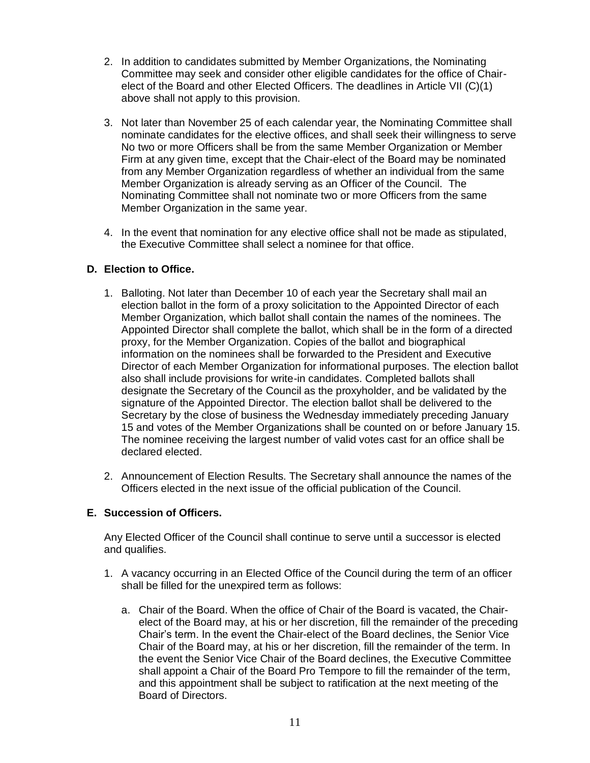- 2. In addition to candidates submitted by Member Organizations, the Nominating Committee may seek and consider other eligible candidates for the office of Chairelect of the Board and other Elected Officers. The deadlines in Article VII (C)(1) above shall not apply to this provision.
- 3. Not later than November 25 of each calendar year, the Nominating Committee shall nominate candidates for the elective offices, and shall seek their willingness to serve No two or more Officers shall be from the same Member Organization or Member Firm at any given time, except that the Chair-elect of the Board may be nominated from any Member Organization regardless of whether an individual from the same Member Organization is already serving as an Officer of the Council. The Nominating Committee shall not nominate two or more Officers from the same Member Organization in the same year.
- 4. In the event that nomination for any elective office shall not be made as stipulated, the Executive Committee shall select a nominee for that office.

# **D. Election to Office.**

- 1. Balloting. Not later than December 10 of each year the Secretary shall mail an election ballot in the form of a proxy solicitation to the Appointed Director of each Member Organization, which ballot shall contain the names of the nominees. The Appointed Director shall complete the ballot, which shall be in the form of a directed proxy, for the Member Organization. Copies of the ballot and biographical information on the nominees shall be forwarded to the President and Executive Director of each Member Organization for informational purposes. The election ballot also shall include provisions for write-in candidates. Completed ballots shall designate the Secretary of the Council as the proxyholder, and be validated by the signature of the Appointed Director. The election ballot shall be delivered to the Secretary by the close of business the Wednesday immediately preceding January 15 and votes of the Member Organizations shall be counted on or before January 15. The nominee receiving the largest number of valid votes cast for an office shall be declared elected.
- 2. Announcement of Election Results. The Secretary shall announce the names of the Officers elected in the next issue of the official publication of the Council.

## **E. Succession of Officers.**

Any Elected Officer of the Council shall continue to serve until a successor is elected and qualifies.

- 1. A vacancy occurring in an Elected Office of the Council during the term of an officer shall be filled for the unexpired term as follows:
	- a. Chair of the Board. When the office of Chair of the Board is vacated, the Chairelect of the Board may, at his or her discretion, fill the remainder of the preceding Chair's term. In the event the Chair-elect of the Board declines, the Senior Vice Chair of the Board may, at his or her discretion, fill the remainder of the term. In the event the Senior Vice Chair of the Board declines, the Executive Committee shall appoint a Chair of the Board Pro Tempore to fill the remainder of the term, and this appointment shall be subject to ratification at the next meeting of the Board of Directors.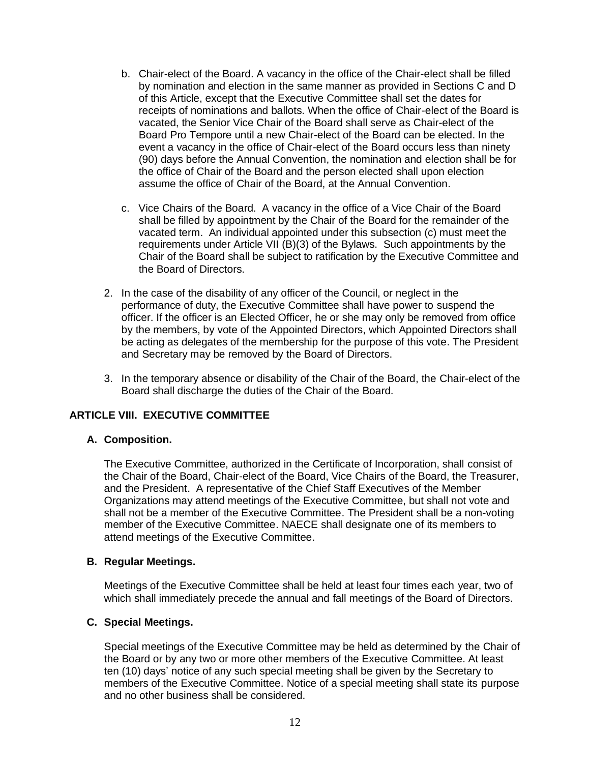- b. Chair-elect of the Board. A vacancy in the office of the Chair-elect shall be filled by nomination and election in the same manner as provided in Sections C and D of this Article, except that the Executive Committee shall set the dates for receipts of nominations and ballots. When the office of Chair-elect of the Board is vacated, the Senior Vice Chair of the Board shall serve as Chair-elect of the Board Pro Tempore until a new Chair-elect of the Board can be elected. In the event a vacancy in the office of Chair-elect of the Board occurs less than ninety (90) days before the Annual Convention, the nomination and election shall be for the office of Chair of the Board and the person elected shall upon election assume the office of Chair of the Board, at the Annual Convention.
- c. Vice Chairs of the Board. A vacancy in the office of a Vice Chair of the Board shall be filled by appointment by the Chair of the Board for the remainder of the vacated term. An individual appointed under this subsection (c) must meet the requirements under Article VII (B)(3) of the Bylaws. Such appointments by the Chair of the Board shall be subject to ratification by the Executive Committee and the Board of Directors.
- 2. In the case of the disability of any officer of the Council, or neglect in the performance of duty, the Executive Committee shall have power to suspend the officer. If the officer is an Elected Officer, he or she may only be removed from office by the members, by vote of the Appointed Directors, which Appointed Directors shall be acting as delegates of the membership for the purpose of this vote. The President and Secretary may be removed by the Board of Directors.
- 3. In the temporary absence or disability of the Chair of the Board, the Chair-elect of the Board shall discharge the duties of the Chair of the Board.

## **ARTICLE VIII. EXECUTIVE COMMITTEE**

#### **A. Composition.**

The Executive Committee, authorized in the Certificate of Incorporation, shall consist of the Chair of the Board, Chair-elect of the Board, Vice Chairs of the Board, the Treasurer, and the President. A representative of the Chief Staff Executives of the Member Organizations may attend meetings of the Executive Committee, but shall not vote and shall not be a member of the Executive Committee. The President shall be a non-voting member of the Executive Committee. NAECE shall designate one of its members to attend meetings of the Executive Committee.

#### **B. Regular Meetings.**

Meetings of the Executive Committee shall be held at least four times each year, two of which shall immediately precede the annual and fall meetings of the Board of Directors.

#### **C. Special Meetings.**

Special meetings of the Executive Committee may be held as determined by the Chair of the Board or by any two or more other members of the Executive Committee. At least ten (10) days' notice of any such special meeting shall be given by the Secretary to members of the Executive Committee. Notice of a special meeting shall state its purpose and no other business shall be considered.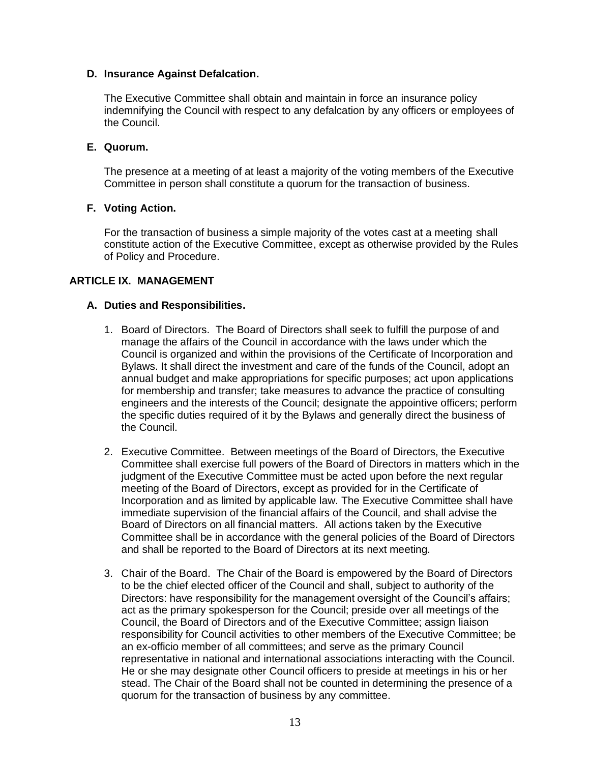#### **D. Insurance Against Defalcation.**

The Executive Committee shall obtain and maintain in force an insurance policy indemnifying the Council with respect to any defalcation by any officers or employees of the Council.

#### **E. Quorum.**

The presence at a meeting of at least a majority of the voting members of the Executive Committee in person shall constitute a quorum for the transaction of business.

#### **F. Voting Action.**

For the transaction of business a simple majority of the votes cast at a meeting shall constitute action of the Executive Committee, except as otherwise provided by the Rules of Policy and Procedure.

## **ARTICLE IX. MANAGEMENT**

#### **A. Duties and Responsibilities.**

- 1. Board of Directors. The Board of Directors shall seek to fulfill the purpose of and manage the affairs of the Council in accordance with the laws under which the Council is organized and within the provisions of the Certificate of Incorporation and Bylaws. It shall direct the investment and care of the funds of the Council, adopt an annual budget and make appropriations for specific purposes; act upon applications for membership and transfer; take measures to advance the practice of consulting engineers and the interests of the Council; designate the appointive officers; perform the specific duties required of it by the Bylaws and generally direct the business of the Council.
- 2. Executive Committee. Between meetings of the Board of Directors, the Executive Committee shall exercise full powers of the Board of Directors in matters which in the judgment of the Executive Committee must be acted upon before the next regular meeting of the Board of Directors, except as provided for in the Certificate of Incorporation and as limited by applicable law. The Executive Committee shall have immediate supervision of the financial affairs of the Council, and shall advise the Board of Directors on all financial matters. All actions taken by the Executive Committee shall be in accordance with the general policies of the Board of Directors and shall be reported to the Board of Directors at its next meeting.
- 3. Chair of the Board. The Chair of the Board is empowered by the Board of Directors to be the chief elected officer of the Council and shall, subject to authority of the Directors: have responsibility for the management oversight of the Council's affairs; act as the primary spokesperson for the Council; preside over all meetings of the Council, the Board of Directors and of the Executive Committee; assign liaison responsibility for Council activities to other members of the Executive Committee; be an ex-officio member of all committees; and serve as the primary Council representative in national and international associations interacting with the Council. He or she may designate other Council officers to preside at meetings in his or her stead. The Chair of the Board shall not be counted in determining the presence of a quorum for the transaction of business by any committee.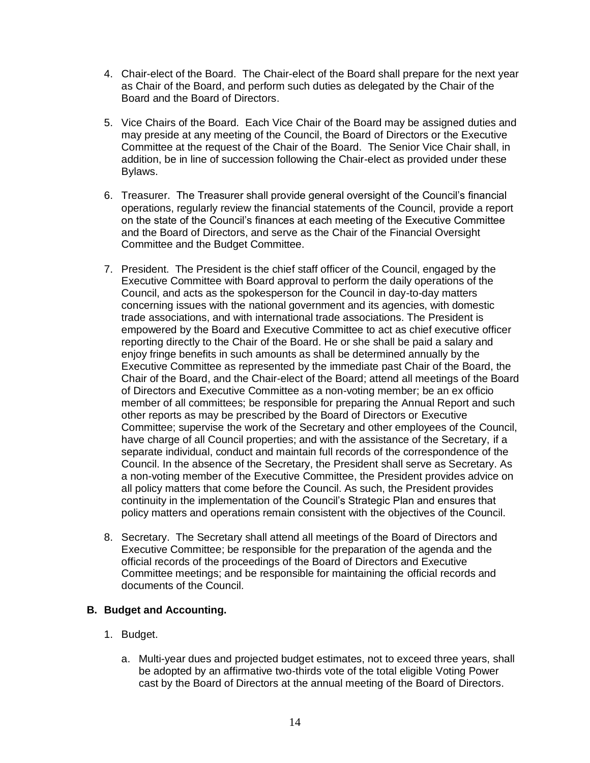- 4. Chair-elect of the Board. The Chair-elect of the Board shall prepare for the next year as Chair of the Board, and perform such duties as delegated by the Chair of the Board and the Board of Directors.
- 5. Vice Chairs of the Board. Each Vice Chair of the Board may be assigned duties and may preside at any meeting of the Council, the Board of Directors or the Executive Committee at the request of the Chair of the Board. The Senior Vice Chair shall, in addition, be in line of succession following the Chair-elect as provided under these Bylaws.
- 6. Treasurer. The Treasurer shall provide general oversight of the Council's financial operations, regularly review the financial statements of the Council, provide a report on the state of the Council's finances at each meeting of the Executive Committee and the Board of Directors, and serve as the Chair of the Financial Oversight Committee and the Budget Committee.
- 7. President. The President is the chief staff officer of the Council, engaged by the Executive Committee with Board approval to perform the daily operations of the Council, and acts as the spokesperson for the Council in day-to-day matters concerning issues with the national government and its agencies, with domestic trade associations, and with international trade associations. The President is empowered by the Board and Executive Committee to act as chief executive officer reporting directly to the Chair of the Board. He or she shall be paid a salary and enjoy fringe benefits in such amounts as shall be determined annually by the Executive Committee as represented by the immediate past Chair of the Board, the Chair of the Board, and the Chair-elect of the Board; attend all meetings of the Board of Directors and Executive Committee as a non-voting member; be an ex officio member of all committees; be responsible for preparing the Annual Report and such other reports as may be prescribed by the Board of Directors or Executive Committee; supervise the work of the Secretary and other employees of the Council, have charge of all Council properties; and with the assistance of the Secretary, if a separate individual, conduct and maintain full records of the correspondence of the Council. In the absence of the Secretary, the President shall serve as Secretary. As a non-voting member of the Executive Committee, the President provides advice on all policy matters that come before the Council. As such, the President provides continuity in the implementation of the Council's Strategic Plan and ensures that policy matters and operations remain consistent with the objectives of the Council.
- 8. Secretary. The Secretary shall attend all meetings of the Board of Directors and Executive Committee; be responsible for the preparation of the agenda and the official records of the proceedings of the Board of Directors and Executive Committee meetings; and be responsible for maintaining the official records and documents of the Council.

## **B. Budget and Accounting.**

- 1. Budget.
	- a. Multi-year dues and projected budget estimates, not to exceed three years, shall be adopted by an affirmative two-thirds vote of the total eligible Voting Power cast by the Board of Directors at the annual meeting of the Board of Directors.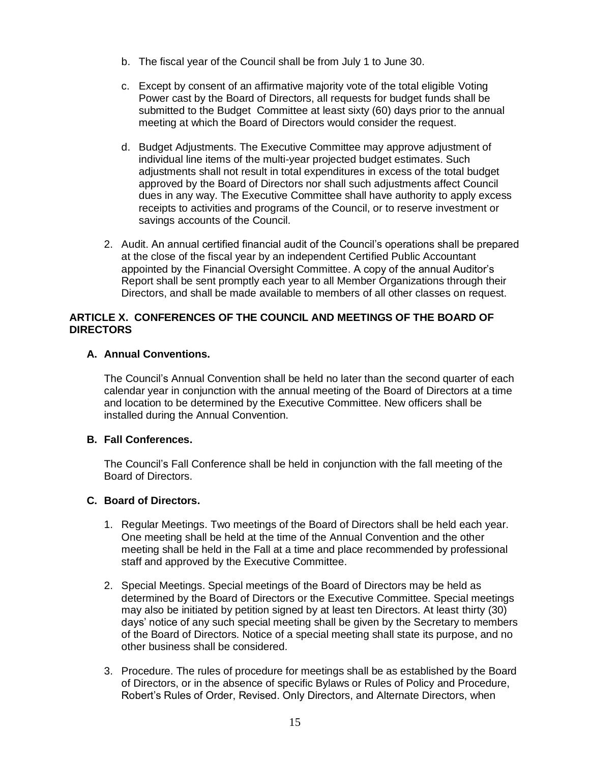- b. The fiscal year of the Council shall be from July 1 to June 30.
- c. Except by consent of an affirmative majority vote of the total eligible Voting Power cast by the Board of Directors, all requests for budget funds shall be submitted to the Budget Committee at least sixty (60) days prior to the annual meeting at which the Board of Directors would consider the request.
- d. Budget Adjustments. The Executive Committee may approve adjustment of individual line items of the multi-year projected budget estimates. Such adjustments shall not result in total expenditures in excess of the total budget approved by the Board of Directors nor shall such adjustments affect Council dues in any way. The Executive Committee shall have authority to apply excess receipts to activities and programs of the Council, or to reserve investment or savings accounts of the Council.
- 2. Audit. An annual certified financial audit of the Council's operations shall be prepared at the close of the fiscal year by an independent Certified Public Accountant appointed by the Financial Oversight Committee. A copy of the annual Auditor's Report shall be sent promptly each year to all Member Organizations through their Directors, and shall be made available to members of all other classes on request.

# **ARTICLE X. CONFERENCES OF THE COUNCIL AND MEETINGS OF THE BOARD OF DIRECTORS**

## **A. Annual Conventions.**

The Council's Annual Convention shall be held no later than the second quarter of each calendar year in conjunction with the annual meeting of the Board of Directors at a time and location to be determined by the Executive Committee. New officers shall be installed during the Annual Convention.

## **B. Fall Conferences.**

The Council's Fall Conference shall be held in conjunction with the fall meeting of the Board of Directors.

# **C. Board of Directors.**

- 1. Regular Meetings. Two meetings of the Board of Directors shall be held each year. One meeting shall be held at the time of the Annual Convention and the other meeting shall be held in the Fall at a time and place recommended by professional staff and approved by the Executive Committee.
- 2. Special Meetings. Special meetings of the Board of Directors may be held as determined by the Board of Directors or the Executive Committee. Special meetings may also be initiated by petition signed by at least ten Directors. At least thirty (30) days' notice of any such special meeting shall be given by the Secretary to members of the Board of Directors. Notice of a special meeting shall state its purpose, and no other business shall be considered.
- 3. Procedure. The rules of procedure for meetings shall be as established by the Board of Directors, or in the absence of specific Bylaws or Rules of Policy and Procedure, Robert's Rules of Order, Revised. Only Directors, and Alternate Directors, when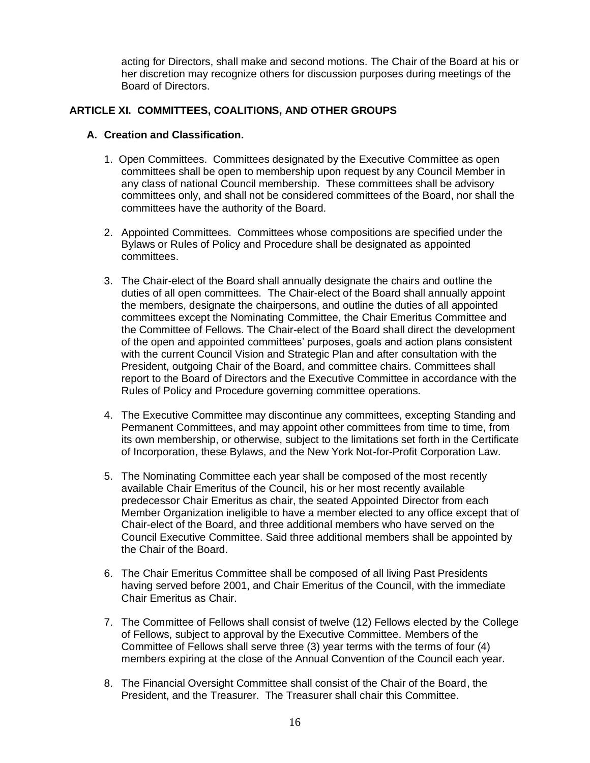acting for Directors, shall make and second motions. The Chair of the Board at his or her discretion may recognize others for discussion purposes during meetings of the Board of Directors.

# **ARTICLE XI. COMMITTEES, COALITIONS, AND OTHER GROUPS**

#### **A. Creation and Classification.**

- 1. Open Committees. Committees designated by the Executive Committee as open committees shall be open to membership upon request by any Council Member in any class of national Council membership. These committees shall be advisory committees only, and shall not be considered committees of the Board, nor shall the committees have the authority of the Board.
- 2. Appointed Committees. Committees whose compositions are specified under the Bylaws or Rules of Policy and Procedure shall be designated as appointed committees.
- 3. The Chair-elect of the Board shall annually designate the chairs and outline the duties of all open committees. The Chair-elect of the Board shall annually appoint the members, designate the chairpersons, and outline the duties of all appointed committees except the Nominating Committee, the Chair Emeritus Committee and the Committee of Fellows. The Chair-elect of the Board shall direct the development of the open and appointed committees' purposes, goals and action plans consistent with the current Council Vision and Strategic Plan and after consultation with the President, outgoing Chair of the Board, and committee chairs. Committees shall report to the Board of Directors and the Executive Committee in accordance with the Rules of Policy and Procedure governing committee operations.
- 4. The Executive Committee may discontinue any committees, excepting Standing and Permanent Committees, and may appoint other committees from time to time, from its own membership, or otherwise, subject to the limitations set forth in the Certificate of Incorporation, these Bylaws, and the New York Not-for-Profit Corporation Law.
- 5. The Nominating Committee each year shall be composed of the most recently available Chair Emeritus of the Council, his or her most recently available predecessor Chair Emeritus as chair, the seated Appointed Director from each Member Organization ineligible to have a member elected to any office except that of Chair-elect of the Board, and three additional members who have served on the Council Executive Committee. Said three additional members shall be appointed by the Chair of the Board.
- 6. The Chair Emeritus Committee shall be composed of all living Past Presidents having served before 2001, and Chair Emeritus of the Council, with the immediate Chair Emeritus as Chair.
- 7. The Committee of Fellows shall consist of twelve (12) Fellows elected by the College of Fellows, subject to approval by the Executive Committee. Members of the Committee of Fellows shall serve three (3) year terms with the terms of four (4) members expiring at the close of the Annual Convention of the Council each year.
- 8. The Financial Oversight Committee shall consist of the Chair of the Board, the President, and the Treasurer. The Treasurer shall chair this Committee.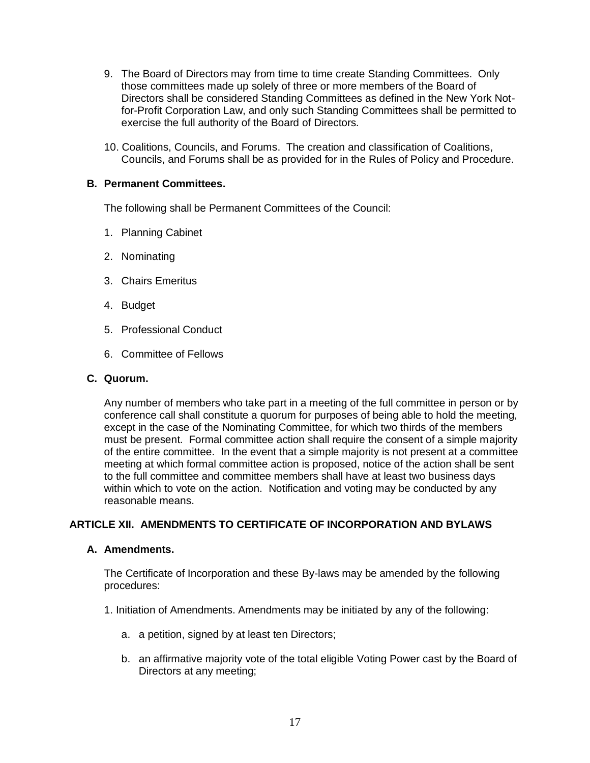- 9. The Board of Directors may from time to time create Standing Committees. Only those committees made up solely of three or more members of the Board of Directors shall be considered Standing Committees as defined in the New York Notfor-Profit Corporation Law, and only such Standing Committees shall be permitted to exercise the full authority of the Board of Directors.
- 10. Coalitions, Councils, and Forums. The creation and classification of Coalitions, Councils, and Forums shall be as provided for in the Rules of Policy and Procedure.

#### **B. Permanent Committees.**

The following shall be Permanent Committees of the Council:

- 1. Planning Cabinet
- 2. Nominating
- 3. Chairs Emeritus
- 4. Budget
- 5. Professional Conduct
- 6. Committee of Fellows

#### **C. Quorum.**

Any number of members who take part in a meeting of the full committee in person or by conference call shall constitute a quorum for purposes of being able to hold the meeting, except in the case of the Nominating Committee, for which two thirds of the members must be present. Formal committee action shall require the consent of a simple majority of the entire committee. In the event that a simple majority is not present at a committee meeting at which formal committee action is proposed, notice of the action shall be sent to the full committee and committee members shall have at least two business days within which to vote on the action. Notification and voting may be conducted by any reasonable means.

## **ARTICLE XII. AMENDMENTS TO CERTIFICATE OF INCORPORATION AND BYLAWS**

#### **A. Amendments.**

The Certificate of Incorporation and these By-laws may be amended by the following procedures:

- 1. Initiation of Amendments. Amendments may be initiated by any of the following:
	- a. a petition, signed by at least ten Directors;
	- b. an affirmative majority vote of the total eligible Voting Power cast by the Board of Directors at any meeting;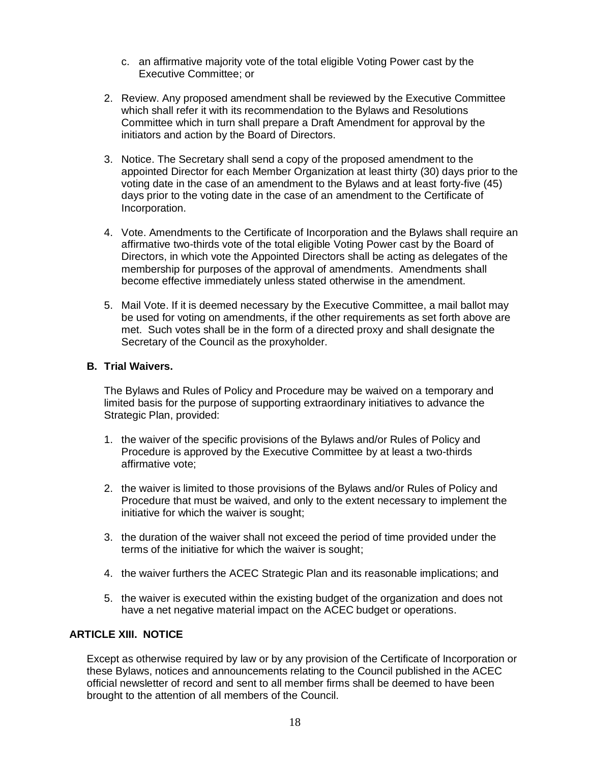- c. an affirmative majority vote of the total eligible Voting Power cast by the Executive Committee; or
- 2. Review. Any proposed amendment shall be reviewed by the Executive Committee which shall refer it with its recommendation to the Bylaws and Resolutions Committee which in turn shall prepare a Draft Amendment for approval by the initiators and action by the Board of Directors.
- 3. Notice. The Secretary shall send a copy of the proposed amendment to the appointed Director for each Member Organization at least thirty (30) days prior to the voting date in the case of an amendment to the Bylaws and at least forty-five (45) days prior to the voting date in the case of an amendment to the Certificate of Incorporation.
- 4. Vote. Amendments to the Certificate of Incorporation and the Bylaws shall require an affirmative two-thirds vote of the total eligible Voting Power cast by the Board of Directors, in which vote the Appointed Directors shall be acting as delegates of the membership for purposes of the approval of amendments. Amendments shall become effective immediately unless stated otherwise in the amendment.
- 5. Mail Vote. If it is deemed necessary by the Executive Committee, a mail ballot may be used for voting on amendments, if the other requirements as set forth above are met. Such votes shall be in the form of a directed proxy and shall designate the Secretary of the Council as the proxyholder.

## **B. Trial Waivers.**

The Bylaws and Rules of Policy and Procedure may be waived on a temporary and limited basis for the purpose of supporting extraordinary initiatives to advance the Strategic Plan, provided:

- 1. the waiver of the specific provisions of the Bylaws and/or Rules of Policy and Procedure is approved by the Executive Committee by at least a two-thirds affirmative vote;
- 2. the waiver is limited to those provisions of the Bylaws and/or Rules of Policy and Procedure that must be waived, and only to the extent necessary to implement the initiative for which the waiver is sought;
- 3. the duration of the waiver shall not exceed the period of time provided under the terms of the initiative for which the waiver is sought;
- 4. the waiver furthers the ACEC Strategic Plan and its reasonable implications; and
- 5. the waiver is executed within the existing budget of the organization and does not have a net negative material impact on the ACEC budget or operations.

## **ARTICLE XIII. NOTICE**

Except as otherwise required by law or by any provision of the Certificate of Incorporation or these Bylaws, notices and announcements relating to the Council published in the ACEC official newsletter of record and sent to all member firms shall be deemed to have been brought to the attention of all members of the Council.